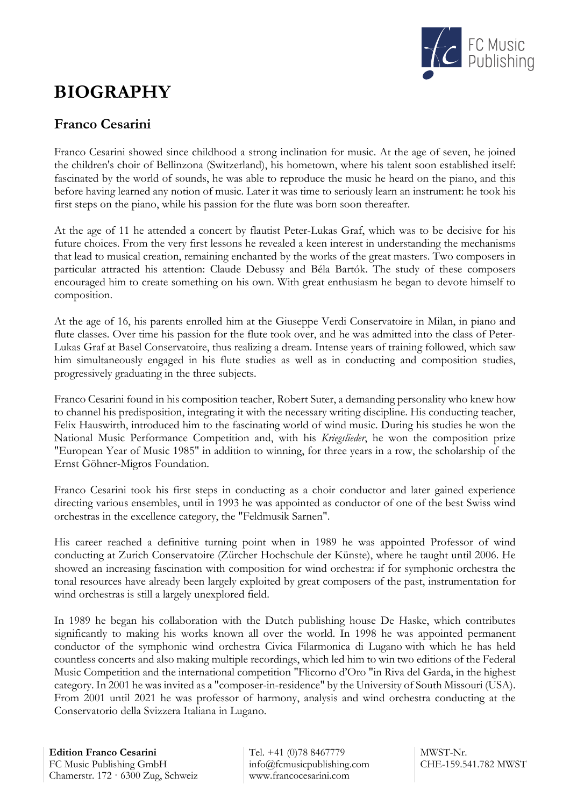

## **BIOGRAPHY**

## **Franco Cesarini**

Franco Cesarini showed since childhood a strong inclination for music. At the age of seven, he joined the children's choir of Bellinzona (Switzerland), his hometown, where his talent soon established itself: fascinated by the world of sounds, he was able to reproduce the music he heard on the piano, and this before having learned any notion of music. Later it was time to seriously learn an instrument: he took his first steps on the piano, while his passion for the flute was born soon thereafter.

At the age of 11 he attended a concert by flautist Peter-Lukas Graf, which was to be decisive for his future choices. From the very first lessons he revealed a keen interest in understanding the mechanisms that lead to musical creation, remaining enchanted by the works of the great masters. Two composers in particular attracted his attention: Claude Debussy and Béla Bartók. The study of these composers encouraged him to create something on his own. With great enthusiasm he began to devote himself to composition.

At the age of 16, his parents enrolled him at the Giuseppe Verdi Conservatoire in Milan, in piano and flute classes. Over time his passion for the flute took over, and he was admitted into the class of Peter-Lukas Graf at Basel Conservatoire, thus realizing a dream. Intense years of training followed, which saw him simultaneously engaged in his flute studies as well as in conducting and composition studies, progressively graduating in the three subjects.

Franco Cesarini found in his composition teacher, Robert Suter, a demanding personality who knew how to channel his predisposition, integrating it with the necessary writing discipline. His conducting teacher, Felix Hauswirth, introduced him to the fascinating world of wind music. During his studies he won the National Music Performance Competition and, with his *Kriegslieder*, he won the composition prize "European Year of Music 1985" in addition to winning, for three years in a row, the scholarship of the Ernst Göhner-Migros Foundation.

Franco Cesarini took his first steps in conducting as a choir conductor and later gained experience directing various ensembles, until in 1993 he was appointed as conductor of one of the best Swiss wind orchestras in the excellence category, the "Feldmusik Sarnen".

His career reached a definitive turning point when in 1989 he was appointed Professor of wind conducting at Zurich Conservatoire (Zürcher Hochschule der Künste), where he taught until 2006. He showed an increasing fascination with composition for wind orchestra: if for symphonic orchestra the tonal resources have already been largely exploited by great composers of the past, instrumentation for wind orchestras is still a largely unexplored field.

In 1989 he began his collaboration with the Dutch publishing house De Haske, which contributes significantly to making his works known all over the world. In 1998 he was appointed permanent conductor of the symphonic wind orchestra Civica Filarmonica di Lugano with which he has held countless concerts and also making multiple recordings, which led him to win two editions of the Federal Music Competition and the international competition "Flicorno d'Oro "in Riva del Garda, in the highest category. In 2001 he was invited as a "composer-in-residence" by the University of South Missouri (USA). From 2001 until 2021 he was professor of harmony, analysis and wind orchestra conducting at the Conservatorio della Svizzera Italiana in Lugano.

Tel. +41 (0)78 8467779 info@fcmusicpublishing.com www.francocesarini.com